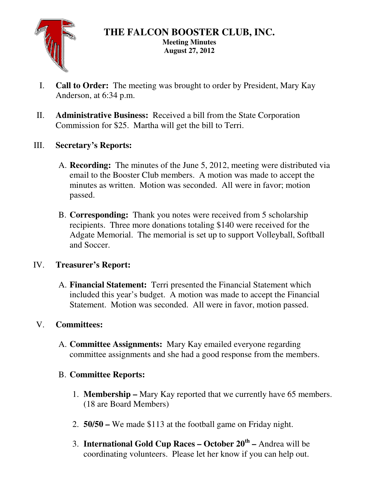

- I. **Call to Order:** The meeting was brought to order by President, Mary Kay Anderson, at 6:34 p.m.
- II. **Administrative Business:** Received a bill from the State Corporation Commission for \$25. Martha will get the bill to Terri.
- III. **Secretary's Reports:** 
	- A. **Recording:** The minutes of the June 5, 2012, meeting were distributed via email to the Booster Club members. A motion was made to accept the minutes as written. Motion was seconded. All were in favor; motion passed.
	- B. **Corresponding:** Thank you notes were received from 5 scholarship recipients. Three more donations totaling \$140 were received for the Adgate Memorial. The memorial is set up to support Volleyball, Softball and Soccer.

# IV. **Treasurer's Report:**

A. **Financial Statement:** Terri presented the Financial Statement which included this year's budget. A motion was made to accept the Financial Statement. Motion was seconded. All were in favor, motion passed.

# V. **Committees:**

A. **Committee Assignments:** Mary Kay emailed everyone regarding committee assignments and she had a good response from the members.

# B. **Committee Reports:**

- 1. **Membership** Mary Kay reported that we currently have 65 members. (18 are Board Members)
- 2. **50/50** We made \$113 at the football game on Friday night.
- 3. **International Gold Cup Races October 20th** Andrea will be coordinating volunteers. Please let her know if you can help out.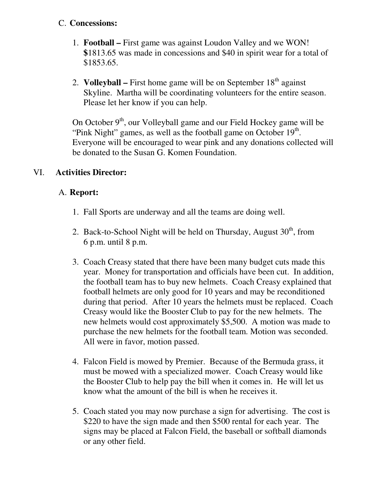### C. **Concessions:**

- 1. **Football** First game was against Loudon Valley and we WON! **\$**1813.65 was made in concessions and \$40 in spirit wear for a total of \$1853.65.
- 2. **Volleyball –** First home game will be on September  $18<sup>th</sup>$  against Skyline. Martha will be coordinating volunteers for the entire season. Please let her know if you can help.

On October  $9<sup>th</sup>$ , our Volleyball game and our Field Hockey game will be "Pink Night" games, as well as the football game on October  $19<sup>th</sup>$ . Everyone will be encouraged to wear pink and any donations collected will be donated to the Susan G. Komen Foundation.

### VI. **Activities Director:**

### A. **Report:**

- 1. Fall Sports are underway and all the teams are doing well.
- 2. Back-to-School Night will be held on Thursday, August  $30<sup>th</sup>$ , from 6 p.m. until 8 p.m.
- 3. Coach Creasy stated that there have been many budget cuts made this year. Money for transportation and officials have been cut. In addition, the football team has to buy new helmets. Coach Creasy explained that football helmets are only good for 10 years and may be reconditioned during that period. After 10 years the helmets must be replaced. Coach Creasy would like the Booster Club to pay for the new helmets. The new helmets would cost approximately \$5,500. A motion was made to purchase the new helmets for the football team. Motion was seconded. All were in favor, motion passed.
- 4. Falcon Field is mowed by Premier. Because of the Bermuda grass, it must be mowed with a specialized mower. Coach Creasy would like the Booster Club to help pay the bill when it comes in. He will let us know what the amount of the bill is when he receives it.
- 5. Coach stated you may now purchase a sign for advertising. The cost is \$220 to have the sign made and then \$500 rental for each year. The signs may be placed at Falcon Field, the baseball or softball diamonds or any other field.